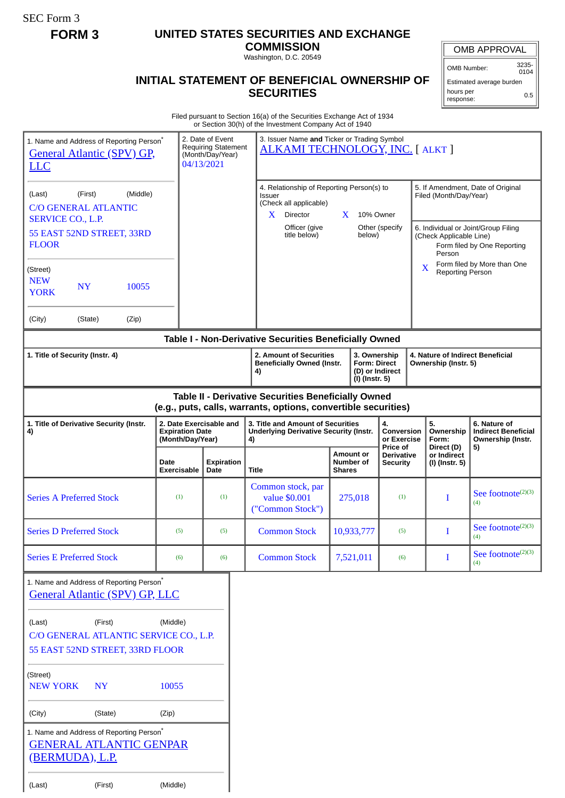SEC Form 3

## **FORM 3 UNITED STATES SECURITIES AND EXCHANGE**

**COMMISSION** Washington, D.C. 20549

## **INITIAL STATEMENT OF BENEFICIAL OWNERSHIP OF SECURITIES**

OMB APPROVAL

OMB Number: 3235- 0104 Estimated average burden

0.5

hours per response:

Filed pursuant to Section 16(a) of the Securities Exchange Act of 1934 or Section 30(h) of the Investment Company Act of 1940

| 1. Name and Address of Reporting Person*<br><b>General Atlantic (SPV) GP,</b><br><b>LLC</b>                                           |         |       |                     | 2. Date of Event<br><b>Requiring Statement</b><br>(Month/Day/Year)<br>04/13/2021 |                                                        | 3. Issuer Name and Ticker or Trading Symbol<br>ALKAMI TECHNOLOGY, INC. [ ALKT ]                                                                                                                          |               |                                                       |                                             |                                                                                                                                                                        |                                             |                                                                       |
|---------------------------------------------------------------------------------------------------------------------------------------|---------|-------|---------------------|----------------------------------------------------------------------------------|--------------------------------------------------------|----------------------------------------------------------------------------------------------------------------------------------------------------------------------------------------------------------|---------------|-------------------------------------------------------|---------------------------------------------|------------------------------------------------------------------------------------------------------------------------------------------------------------------------|---------------------------------------------|-----------------------------------------------------------------------|
| (First)<br>(Middle)<br>(Last)<br><b>C/O GENERAL ATLANTIC</b><br><b>SERVICE CO., L.P.</b><br>55 EAST 52ND STREET, 33RD<br><b>FLOOR</b> |         |       |                     |                                                                                  |                                                        | 4. Relationship of Reporting Person(s) to<br><b>Issuer</b><br>(Check all applicable)<br>X<br>Director<br>Officer (give<br>title below)                                                                   |               | 10% Owner<br>$\mathbf{X}$<br>Other (specify<br>below) |                                             | 5. If Amendment, Date of Original<br>Filed (Month/Day/Year)<br>6. Individual or Joint/Group Filing<br>(Check Applicable Line)<br>Form filed by One Reporting<br>Person |                                             |                                                                       |
| (Street)<br><b>NEW</b><br><b>NY</b><br>10055<br><b>YORK</b>                                                                           |         |       |                     |                                                                                  |                                                        |                                                                                                                                                                                                          |               |                                                       | X                                           | <b>Reporting Person</b>                                                                                                                                                | Form filed by More than One                 |                                                                       |
| (City)                                                                                                                                | (State) | (Zip) |                     |                                                                                  |                                                        |                                                                                                                                                                                                          |               |                                                       |                                             |                                                                                                                                                                        |                                             |                                                                       |
| 1. Title of Security (Instr. 4)                                                                                                       |         |       |                     |                                                                                  |                                                        | Table I - Non-Derivative Securities Beneficially Owned<br>2. Amount of Securities<br>3. Ownership<br><b>Beneficially Owned (Instr.</b><br><b>Form: Direct</b><br>(D) or Indirect<br>4)<br>(I) (Instr. 5) |               |                                                       |                                             | 4. Nature of Indirect Beneficial<br>Ownership (Instr. 5)                                                                                                               |                                             |                                                                       |
|                                                                                                                                       |         |       |                     |                                                                                  |                                                        | Table II - Derivative Securities Beneficially Owned<br>(e.g., puts, calls, warrants, options, convertible securities)                                                                                    |               |                                                       |                                             |                                                                                                                                                                        |                                             |                                                                       |
| 1. Title of Derivative Security (Instr.<br>4)                                                                                         |         |       |                     | 2. Date Exercisable and<br><b>Expiration Date</b><br>(Month/Day/Year)<br>4)      |                                                        | 3. Title and Amount of Securities<br><b>Underlying Derivative Security (Instr.</b>                                                                                                                       |               |                                                       | 4.<br>Conversion<br>or Exercise<br>Price of |                                                                                                                                                                        | 5.<br>Ownership<br>Form:                    | 6. Nature of<br><b>Indirect Beneficial</b><br>Ownership (Instr.<br>5) |
|                                                                                                                                       |         |       | Date<br>Exercisable | <b>Expiration</b><br>Date                                                        |                                                        | <b>Title</b>                                                                                                                                                                                             | <b>Shares</b> | <b>Amount or</b><br>Number of                         | <b>Derivative</b><br>Security               |                                                                                                                                                                        | Direct (D)<br>or Indirect<br>(I) (Instr. 5) |                                                                       |
| <b>Series A Preferred Stock</b>                                                                                                       |         | (1)   | (1)                 |                                                                                  | Common stock, par<br>value \$0.001<br>("Common Stock") | 275,018                                                                                                                                                                                                  |               | (1)                                                   |                                             | T                                                                                                                                                                      | See footnote <sup>(2)(3)</sup><br>(4)       |                                                                       |
| <b>Series D Preferred Stock</b>                                                                                                       |         | (5)   | (5)                 |                                                                                  | <b>Common Stock</b>                                    | 10,933,777                                                                                                                                                                                               |               | (5)                                                   |                                             | L                                                                                                                                                                      | See footnote <sup>(2)(3)</sup><br>(4)       |                                                                       |
| <b>Series E Preferred Stock</b>                                                                                                       |         | (6)   | (6)                 |                                                                                  | <b>Common Stock</b>                                    |                                                                                                                                                                                                          | 7,521,011     | (6)                                                   |                                             | $\mathbf{I}$                                                                                                                                                           | See footnote <sup>(2)(3)</sup><br>(4)       |                                                                       |
| 1. Name and Address of Reporting Person*<br>General Atlantic (SPV) GP, LLC                                                            |         |       |                     |                                                                                  |                                                        |                                                                                                                                                                                                          |               |                                                       |                                             |                                                                                                                                                                        |                                             |                                                                       |
| (First)<br>(Middle)<br>(Last)<br>C/O GENERAL ATLANTIC SERVICE CO., L.P.<br>55 EAST 52ND STREET, 33RD FLOOR                            |         |       |                     |                                                                                  |                                                        |                                                                                                                                                                                                          |               |                                                       |                                             |                                                                                                                                                                        |                                             |                                                                       |
| (Street)<br><b>NEW YORK</b><br><b>NY</b>                                                                                              |         |       | 10055               |                                                                                  |                                                        |                                                                                                                                                                                                          |               |                                                       |                                             |                                                                                                                                                                        |                                             |                                                                       |
| (City)<br>(State)                                                                                                                     |         |       | (Zip)               |                                                                                  |                                                        |                                                                                                                                                                                                          |               |                                                       |                                             |                                                                                                                                                                        |                                             |                                                                       |
| 1. Name and Address of Reporting Person <sup>*</sup><br><b>GENERAL ATLANTIC GENPAR</b><br><u>(BERMUDA), L.P.</u>                      |         |       |                     |                                                                                  |                                                        |                                                                                                                                                                                                          |               |                                                       |                                             |                                                                                                                                                                        |                                             |                                                                       |
| (Last)<br>(First)                                                                                                                     |         |       | (Middle)            |                                                                                  |                                                        |                                                                                                                                                                                                          |               |                                                       |                                             |                                                                                                                                                                        |                                             |                                                                       |